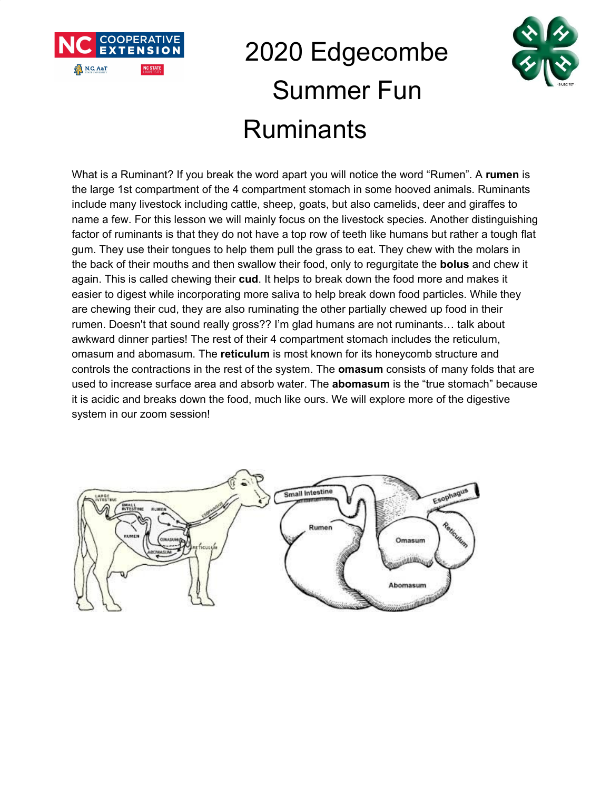

## 2020 Edgecombe Summer Fun **Ruminants**



What is a Ruminant? If you break the word apart you will notice the word "Rumen". A **rumen** is the large 1st compartment of the 4 compartment stomach in some hooved animals. Ruminants include many livestock including cattle, sheep, goats, but also camelids, deer and giraffes to name a few. For this lesson we will mainly focus on the livestock species. Another distinguishing factor of ruminants is that they do not have a top row of teeth like humans but rather a tough flat gum. They use their tongues to help them pull the grass to eat. They chew with the molars in the back of their mouths and then swallow their food, only to regurgitate the **bolus** and chew it again. This is called chewing their **cud**. It helps to break down the food more and makes it easier to digest while incorporating more saliva to help break down food particles. While they are chewing their cud, they are also ruminating the other partially chewed up food in their rumen. Doesn't that sound really gross?? I'm glad humans are not ruminants… talk about awkward dinner parties! The rest of their 4 compartment stomach includes the reticulum, omasum and abomasum. The **reticulum** is most known for its honeycomb structure and controls the contractions in the rest of the system. The **omasum** consists of many folds that are used to increase surface area and absorb water. The **abomasum** is the "true stomach" because it is acidic and breaks down the food, much like ours. We will explore more of the digestive system in our zoom session!